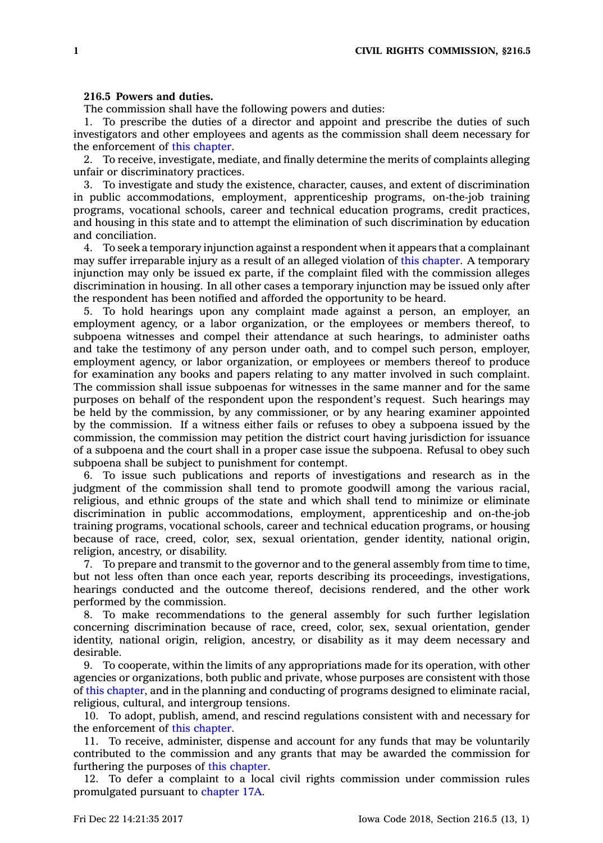## **216.5 Powers and duties.**

The commission shall have the following powers and duties:

1. To prescribe the duties of <sup>a</sup> director and appoint and prescribe the duties of such investigators and other employees and agents as the commission shall deem necessary for the enforcement of this [chapter](https://www.legis.iowa.gov/docs/code//216.pdf).

2. To receive, investigate, mediate, and finally determine the merits of complaints alleging unfair or discriminatory practices.

3. To investigate and study the existence, character, causes, and extent of discrimination in public accommodations, employment, apprenticeship programs, on-the-job training programs, vocational schools, career and technical education programs, credit practices, and housing in this state and to attempt the elimination of such discrimination by education and conciliation.

4. To seek <sup>a</sup> temporary injunction against <sup>a</sup> respondent when it appears that <sup>a</sup> complainant may suffer irreparable injury as <sup>a</sup> result of an alleged violation of this [chapter](https://www.legis.iowa.gov/docs/code//216.pdf). A temporary injunction may only be issued ex parte, if the complaint filed with the commission alleges discrimination in housing. In all other cases <sup>a</sup> temporary injunction may be issued only after the respondent has been notified and afforded the opportunity to be heard.

5. To hold hearings upon any complaint made against <sup>a</sup> person, an employer, an employment agency, or <sup>a</sup> labor organization, or the employees or members thereof, to subpoena witnesses and compel their attendance at such hearings, to administer oaths and take the testimony of any person under oath, and to compel such person, employer, employment agency, or labor organization, or employees or members thereof to produce for examination any books and papers relating to any matter involved in such complaint. The commission shall issue subpoenas for witnesses in the same manner and for the same purposes on behalf of the respondent upon the respondent's request. Such hearings may be held by the commission, by any commissioner, or by any hearing examiner appointed by the commission. If <sup>a</sup> witness either fails or refuses to obey <sup>a</sup> subpoena issued by the commission, the commission may petition the district court having jurisdiction for issuance of <sup>a</sup> subpoena and the court shall in <sup>a</sup> proper case issue the subpoena. Refusal to obey such subpoena shall be subject to punishment for contempt.

6. To issue such publications and reports of investigations and research as in the judgment of the commission shall tend to promote goodwill among the various racial, religious, and ethnic groups of the state and which shall tend to minimize or eliminate discrimination in public accommodations, employment, apprenticeship and on-the-job training programs, vocational schools, career and technical education programs, or housing because of race, creed, color, sex, sexual orientation, gender identity, national origin, religion, ancestry, or disability.

7. To prepare and transmit to the governor and to the general assembly from time to time, but not less often than once each year, reports describing its proceedings, investigations, hearings conducted and the outcome thereof, decisions rendered, and the other work performed by the commission.

8. To make recommendations to the general assembly for such further legislation concerning discrimination because of race, creed, color, sex, sexual orientation, gender identity, national origin, religion, ancestry, or disability as it may deem necessary and desirable.

9. To cooperate, within the limits of any appropriations made for its operation, with other agencies or organizations, both public and private, whose purposes are consistent with those of this [chapter](https://www.legis.iowa.gov/docs/code//216.pdf), and in the planning and conducting of programs designed to eliminate racial, religious, cultural, and intergroup tensions.

10. To adopt, publish, amend, and rescind regulations consistent with and necessary for the enforcement of this [chapter](https://www.legis.iowa.gov/docs/code//216.pdf).

11. To receive, administer, dispense and account for any funds that may be voluntarily contributed to the commission and any grants that may be awarded the commission for furthering the purposes of this [chapter](https://www.legis.iowa.gov/docs/code//216.pdf).

12. To defer <sup>a</sup> complaint to <sup>a</sup> local civil rights commission under commission rules promulgated pursuant to [chapter](https://www.legis.iowa.gov/docs/code//17A.pdf) 17A.